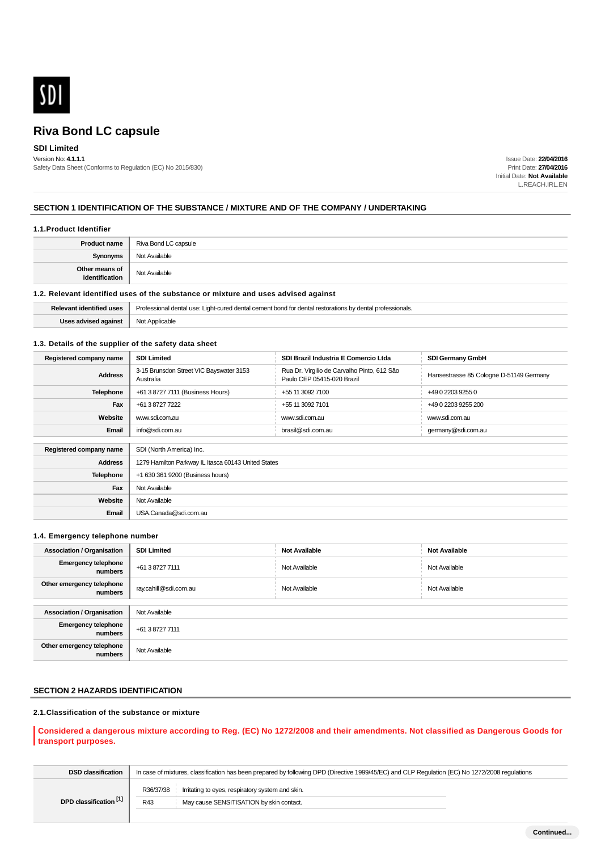

# **SDI Limited**

Version No: **4.1.1.1** Safety Data Sheet (Conforms to Regulation (EC) No 2015/830)

Issue Date: **22/04/2016** Print Date: **27/04/2016** Initial Date: **Not Available** L.REACH.IRL.EN

# **SECTION 1 IDENTIFICATION OF THE SUBSTANCE / MIXTURE AND OF THE COMPANY / UNDERTAKING**

#### **1.1.Product Identifier**

| <b>Product name</b>              | Riva Bond LC capsule |
|----------------------------------|----------------------|
| <b>Synonyms</b>                  | Not Available        |
| Other means of<br>identification | Not Available        |

#### **1.2. Relevant identified uses of the substance or mixture and uses advised against**

| <b>Relevant identified uses</b> | Professional dental use: Light-cured dental cement bond for dental restorations by dental professionals. |
|---------------------------------|----------------------------------------------------------------------------------------------------------|
| Uses advised against $\ $       | Not Applicable                                                                                           |

#### **1.3. Details of the supplier of the safety data sheet**

| Registered company name | <b>SDI Limited</b>                                   | SDI Brazil Industria E Comercio Ltda                                      | <b>SDI Germany GmbH</b>                 |
|-------------------------|------------------------------------------------------|---------------------------------------------------------------------------|-----------------------------------------|
| <b>Address</b>          | 3-15 Brunsdon Street VIC Bayswater 3153<br>Australia | Rua Dr. Virgilio de Carvalho Pinto, 612 São<br>Paulo CEP 05415-020 Brazil | Hansestrasse 85 Cologne D-51149 Germany |
| <b>Telephone</b>        | +61 3 8727 7111 (Business Hours)                     | +55 11 3092 7100                                                          | +49 0 2203 9255 0                       |
| Fax                     | +61 3 8727 7222                                      | +55 11 3092 7101                                                          | +49 0 2203 9255 200                     |
| Website                 | www.sdi.com.au                                       | www.sdi.com.au                                                            | www.sdi.com.au                          |
| Email                   | info@sdi.com.au                                      | brasil@sdi.com.au                                                         | germany@sdi.com.au                      |
|                         |                                                      |                                                                           |                                         |
| Registered company name | SDI (North America) Inc.                             |                                                                           |                                         |
| <b>Address</b>          | 1279 Hamilton Parkway IL Itasca 60143 United States  |                                                                           |                                         |
| <b>Telephone</b>        | +1 630 361 9200 (Business hours)                     |                                                                           |                                         |
| Fax                     | Not Available                                        |                                                                           |                                         |
| Website                 | Not Available                                        |                                                                           |                                         |
| Email                   | USA.Canada@sdi.com.au                                |                                                                           |                                         |

#### **1.4. Emergency telephone number**

| <b>Association / Organisation</b>     | <b>SDI Limited</b>    | <b>Not Available</b> | <b>Not Available</b> |
|---------------------------------------|-----------------------|----------------------|----------------------|
| <b>Emergency telephone</b><br>numbers | +61 3 8727 7111       | Not Available        | Not Available        |
| Other emergency telephone<br>numbers  | ray.cahill@sdi.com.au | Not Available        | Not Available        |
|                                       |                       |                      |                      |
| <b>Association / Organisation</b>     | Not Available         |                      |                      |
| <b>Emergency telephone</b><br>numbers | +61 3 8727 7111       |                      |                      |
| Other emergency telephone<br>numbers  | Not Available         |                      |                      |

# **SECTION 2 HAZARDS IDENTIFICATION**

# **2.1.Classification of the substance or mixture**

# **Considered a dangerous mixture according to Reg. (EC) No 1272/2008 and their amendments. Not classified as Dangerous Goods for transport purposes.**

| <b>DSD classification</b> | In case of mixtures, classification has been prepared by following DPD (Directive 1999/45/EC) and CLP Regulation (EC) No 1272/2008 regulations |  |  |
|---------------------------|------------------------------------------------------------------------------------------------------------------------------------------------|--|--|
| DPD classification [1]    | R36/37/38<br>Irritating to eyes, respiratory system and skin.<br>May cause SENSITISATION by skin contact.<br>R43                               |  |  |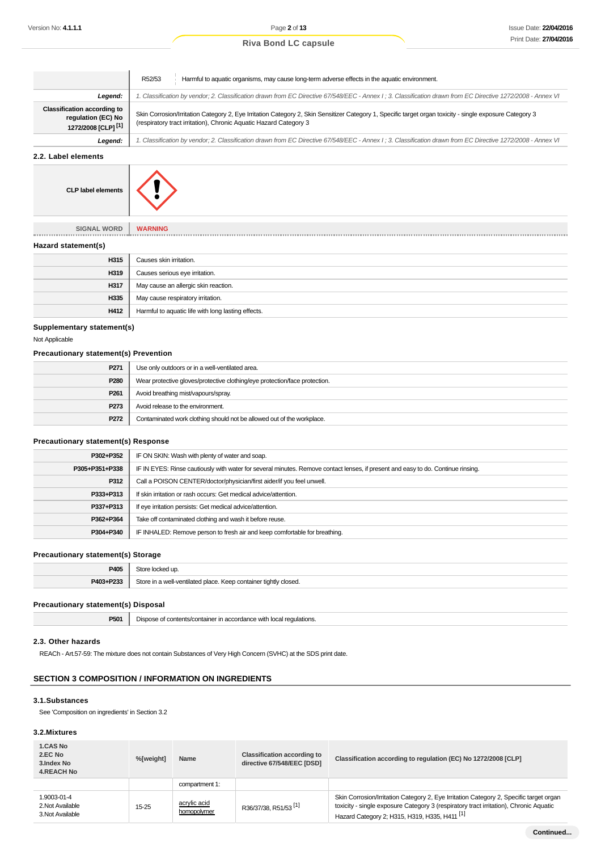|  | <b>Riva Bond LC capsule</b> |  |  |  |
|--|-----------------------------|--|--|--|
|--|-----------------------------|--|--|--|

|                                                                                            | Harmful to aquatic organisms, may cause long-term adverse effects in the aquatic environment.<br>R52/53                                                                                                                       |
|--------------------------------------------------------------------------------------------|-------------------------------------------------------------------------------------------------------------------------------------------------------------------------------------------------------------------------------|
| Legend:                                                                                    | 1. Classification by vendor; 2. Classification drawn from EC Directive 67/548/EEC - Annex I ; 3. Classification drawn from EC Directive 1272/2008 - Annex VI                                                                  |
| <b>Classification according to</b><br>regulation (EC) No<br>1272/2008 [CLP] <sup>[1]</sup> | Skin Corrosion/Irritation Category 2, Eye Irritation Category 2, Skin Sensitizer Category 1, Specific target organ toxicity - single exposure Category 3<br>(respiratory tract irritation), Chronic Aquatic Hazard Category 3 |
| Legend:                                                                                    | 1. Classification by vendor; 2. Classification drawn from EC Directive 67/548/EEC - Annex I; 3. Classification drawn from EC Directive 1272/2008 - Annex VI                                                                   |

**2.2. Label elements**



**SIGNAL WORD WARNING**

#### **Hazard statement(s)**

| H315 | Causes skin irritation.                            |
|------|----------------------------------------------------|
| H319 | Causes serious eye irritation.                     |
| H317 | May cause an allergic skin reaction.               |
| H335 | May cause respiratory irritation.                  |
| H412 | Harmful to aquatic life with long lasting effects. |

# **Supplementary statement(s)**

Not Applicable

# **Precautionary statement(s) Prevention**

| P271             | Use only outdoors or in a well-ventilated area.                            |
|------------------|----------------------------------------------------------------------------|
| P280             | Wear protective gloves/protective clothing/eye protection/face protection. |
| P <sub>261</sub> | Avoid breathing mist/vapours/spray.                                        |
| P273             | Avoid release to the environment.                                          |
| P272             | Contaminated work clothing should not be allowed out of the workplace.     |

#### **Precautionary statement(s) Response**

| P302+P352      | IF ON SKIN: Wash with plenty of water and soap.                                                                                  |
|----------------|----------------------------------------------------------------------------------------------------------------------------------|
| P305+P351+P338 | IF IN EYES: Rinse cautiously with water for several minutes. Remove contact lenses, if present and easy to do. Continue rinsing. |
| P312           | Call a POISON CENTER/doctor/physician/first aider/if you feel unwell.                                                            |
| P333+P313      | If skin irritation or rash occurs: Get medical advice/attention.                                                                 |
| P337+P313      | If eye irritation persists: Get medical advice/attention.                                                                        |
| P362+P364      | Take off contaminated clothing and wash it before reuse.                                                                         |
| P304+P340      | IF INHALED: Remove person to fresh air and keep comfortable for breathing.                                                       |
|                |                                                                                                                                  |

#### **Precautionary statement(s) Storage**

| P405      | Store locked up.                                                 |
|-----------|------------------------------------------------------------------|
| P403+P233 | Store in a well-ventilated place. Keep container tightly closed. |

#### **Precautionary statement(s) Disposal**

| DE04<br><b>POUT</b> | Dispose of<br>t contents/container<br>$\mathbf{r}$<br>r in acc<br>: organce.<br>, with im- |
|---------------------|--------------------------------------------------------------------------------------------|
|                     |                                                                                            |

# **2.3. Other hazards**

REACh - Art.57-59: The mixture does not contain Substances of Very High Concern (SVHC) at the SDS print date.

# **SECTION 3 COMPOSITION / INFORMATION ON INGREDIENTS**

# **3.1.Substances**

See 'Composition on ingredients' in Section 3.2

# **3.2.Mixtures**

| 1.CAS No<br>2.EC No<br>3.Index No<br><b>4.REACH No</b> | %[weight] | Name                        | <b>Classification according to</b><br>directive 67/548/EEC [DSD] | Classification according to regulation (EC) No 1272/2008 [CLP]                                                                                                                                                                              |
|--------------------------------------------------------|-----------|-----------------------------|------------------------------------------------------------------|---------------------------------------------------------------------------------------------------------------------------------------------------------------------------------------------------------------------------------------------|
|                                                        |           | compartment 1:              |                                                                  |                                                                                                                                                                                                                                             |
| 1.9003-01-4<br>2. Not Available<br>3. Not Available    | $15 - 25$ | acrylic acid<br>homopolymer | R36/37/38, R51/53 <sup>[1]</sup>                                 | Skin Corrosion/Irritation Category 2, Eye Irritation Category 2, Specific target organ<br>toxicity - single exposure Category 3 (respiratory tract irritation), Chronic Aquatic<br>Hazard Category 2; H315, H319, H335, H411 <sup>[1]</sup> |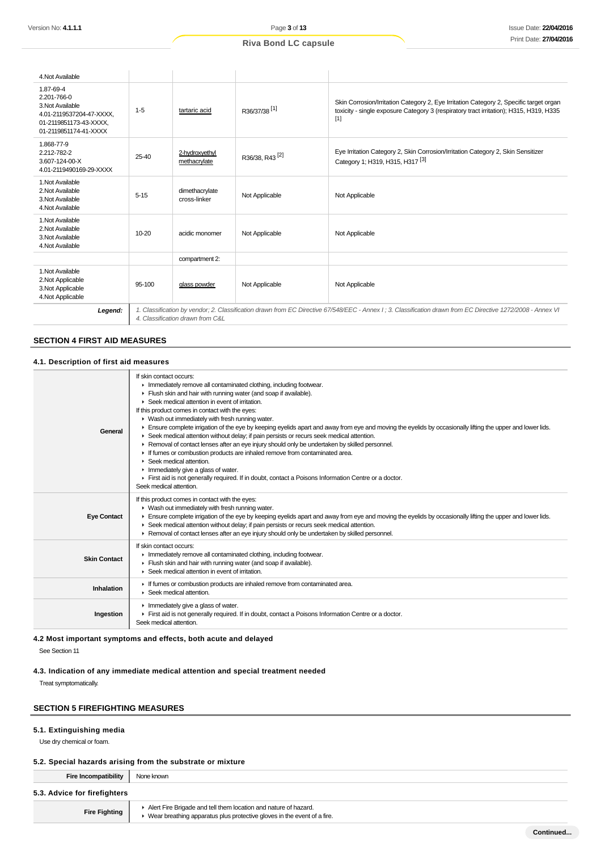| 4. Not Available                                                                                                            |          |                                                                                                                                                                                                 |                            |                                                                                                                                                                                           |  |
|-----------------------------------------------------------------------------------------------------------------------------|----------|-------------------------------------------------------------------------------------------------------------------------------------------------------------------------------------------------|----------------------------|-------------------------------------------------------------------------------------------------------------------------------------------------------------------------------------------|--|
| 1.87-69-4<br>2.201-766-0<br>3. Not Available<br>4.01-2119537204-47-XXXX.<br>01-2119851173-43-XXXX.<br>01-2119851174-41-XXXX | $1 - 5$  | tartaric acid                                                                                                                                                                                   | R36/37/38 <sup>[1]</sup>   | Skin Corrosion/Irritation Category 2, Eye Irritation Category 2, Specific target organ<br>toxicity - single exposure Category 3 (respiratory tract irritation); H315, H319, H335<br>$[1]$ |  |
| 1.868-77-9<br>2.212-782-2<br>3.607-124-00-X<br>4.01-2119490169-29-XXXX                                                      | 25-40    | 2-hydroxyethyl<br>methacrylate                                                                                                                                                                  | R36/38, R43 <sup>[2]</sup> | Eye Irritation Category 2, Skin Corrosion/Irritation Category 2, Skin Sensitizer<br>Category 1; H319, H315, H317 <sup>[3]</sup>                                                           |  |
| 1. Not Available<br>2. Not Available<br>3. Not Available<br>4. Not Available                                                | $5 - 15$ | dimethacrylate<br>cross-linker                                                                                                                                                                  | Not Applicable             | Not Applicable                                                                                                                                                                            |  |
| 1. Not Available<br>2. Not Available<br>3. Not Available<br>4. Not Available                                                | 10-20    | acidic monomer                                                                                                                                                                                  | Not Applicable             | Not Applicable                                                                                                                                                                            |  |
|                                                                                                                             |          | compartment 2:                                                                                                                                                                                  |                            |                                                                                                                                                                                           |  |
| 1. Not Available<br>2. Not Applicable<br>3. Not Applicable<br>4. Not Applicable                                             | 95-100   | glass powder                                                                                                                                                                                    | Not Applicable             | Not Applicable                                                                                                                                                                            |  |
| Legend:                                                                                                                     |          | 1. Classification by vendor; 2. Classification drawn from EC Directive 67/548/EEC - Annex I; 3. Classification drawn from EC Directive 1272/2008 - Annex VI<br>4. Classification drawn from C&L |                            |                                                                                                                                                                                           |  |

# **SECTION 4 FIRST AID MEASURES**

# **4.1. Description of first aid measures**

| General             | If skin contact occurs:<br>Inmediately remove all contaminated clothing, including footwear.<br>Flush skin and hair with running water (and soap if available).<br>▶ Seek medical attention in event of irritation.<br>If this product comes in contact with the eyes:<br>$\blacktriangleright$ Wash out immediately with fresh running water.<br>Ensure complete irrigation of the eye by keeping eyelids apart and away from eye and moving the eyelids by occasionally lifting the upper and lower lids.<br>► Seek medical attention without delay; if pain persists or recurs seek medical attention.<br>▶ Removal of contact lenses after an eye injury should only be undertaken by skilled personnel.<br>If fumes or combustion products are inhaled remove from contaminated area.<br>$\blacktriangleright$ Seek medical attention.<br>$\blacktriangleright$ Immediately give a glass of water.<br>First aid is not generally required. If in doubt, contact a Poisons Information Centre or a doctor.<br>Seek medical attention. |
|---------------------|-------------------------------------------------------------------------------------------------------------------------------------------------------------------------------------------------------------------------------------------------------------------------------------------------------------------------------------------------------------------------------------------------------------------------------------------------------------------------------------------------------------------------------------------------------------------------------------------------------------------------------------------------------------------------------------------------------------------------------------------------------------------------------------------------------------------------------------------------------------------------------------------------------------------------------------------------------------------------------------------------------------------------------------------|
| <b>Eye Contact</b>  | If this product comes in contact with the eyes:<br>• Wash out immediately with fresh running water.<br>Ensure complete irrigation of the eye by keeping eyelids apart and away from eye and moving the eyelids by occasionally lifting the upper and lower lids.<br>► Seek medical attention without delay; if pain persists or recurs seek medical attention.<br>► Removal of contact lenses after an eye injury should only be undertaken by skilled personnel.                                                                                                                                                                                                                                                                                                                                                                                                                                                                                                                                                                         |
| <b>Skin Contact</b> | If skin contact occurs:<br>Inmediately remove all contaminated clothing, including footwear.<br>Flush skin and hair with running water (and soap if available).<br>Seek medical attention in event of irritation.                                                                                                                                                                                                                                                                                                                                                                                                                                                                                                                                                                                                                                                                                                                                                                                                                         |
| Inhalation          | If fumes or combustion products are inhaled remove from contaminated area.<br>Seek medical attention.                                                                                                                                                                                                                                                                                                                                                                                                                                                                                                                                                                                                                                                                                                                                                                                                                                                                                                                                     |
| Ingestion           | $\blacktriangleright$ Immediately give a glass of water.<br>First aid is not generally required. If in doubt, contact a Poisons Information Centre or a doctor.<br>Seek medical attention.                                                                                                                                                                                                                                                                                                                                                                                                                                                                                                                                                                                                                                                                                                                                                                                                                                                |

# **4.2 Most important symptoms and effects, both acute and delayed**

See Section 11

# **4.3. Indication of any immediate medical attention and special treatment needed**

Treat symptomatically.

### **SECTION 5 FIREFIGHTING MEASURES**

# **5.1. Extinguishing media**

Use dry chemical or foam.

#### **5.2. Special hazards arising from the substrate or mixture**

**Fire Incompatibility** None known

# **5.3. Advice for firefighters**

**Fire Fighting**

Alert Fire Brigade and tell them location and nature of hazard. ▶ Wear breathing apparatus plus protective gloves in the event of a fire.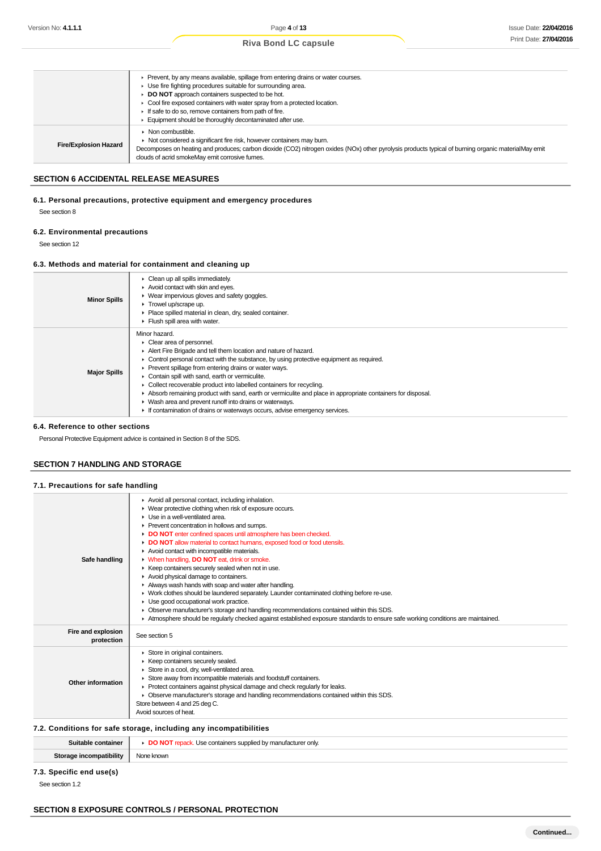| Prevent, by any means available, spillage from entering drains or water courses.<br>Use fire fighting procedures suitable for surrounding area.<br>DO NOT approach containers suspected to be hot.<br>Cool fire exposed containers with water spray from a protected location.<br>If safe to do so, remove containers from path of fire.<br>Equipment should be thoroughly decontaminated after use. |
|------------------------------------------------------------------------------------------------------------------------------------------------------------------------------------------------------------------------------------------------------------------------------------------------------------------------------------------------------------------------------------------------------|
| ▶ Not considered a significant fire risk, however containers may burn.<br>Decomposes on heating and produces; carbon dioxide (CO2) nitrogen oxides (NOx) other pyrolysis products typical of burning organic materialMay emit<br>clouds of acrid smokeMay emit corrosive fumes.                                                                                                                      |
|                                                                                                                                                                                                                                                                                                                                                                                                      |

#### **SECTION 6 ACCIDENTAL RELEASE MEASURES**

# **6.1. Personal precautions, protective equipment and emergency procedures**

See section 8

#### **6.2. Environmental precautions**

See section 12

#### **6.3. Methods and material for containment and cleaning up**

| <b>Minor Spills</b> | $\triangleright$ Clean up all spills immediately.<br>Avoid contact with skin and eyes.<br>▶ Wear impervious gloves and safety goggles.<br>$\blacktriangleright$ Trowel up/scrape up.<br>• Place spilled material in clean, dry, sealed container.<br>Flush spill area with water.                                                                                                                                                                                                                                                                                                                                                                                       |
|---------------------|-------------------------------------------------------------------------------------------------------------------------------------------------------------------------------------------------------------------------------------------------------------------------------------------------------------------------------------------------------------------------------------------------------------------------------------------------------------------------------------------------------------------------------------------------------------------------------------------------------------------------------------------------------------------------|
| <b>Major Spills</b> | Minor hazard.<br>• Clear area of personnel.<br>Alert Fire Brigade and tell them location and nature of hazard.<br>$\triangleright$ Control personal contact with the substance, by using protective equipment as required.<br>▶ Prevent spillage from entering drains or water ways.<br>Contain spill with sand, earth or vermiculite.<br>▶ Collect recoverable product into labelled containers for recycling.<br>Absorb remaining product with sand, earth or vermiculite and place in appropriate containers for disposal.<br>• Wash area and prevent runoff into drains or waterways.<br>If contamination of drains or waterways occurs, advise emergency services. |

#### **6.4. Reference to other sections**

Personal Protective Equipment advice is contained in Section 8 of the SDS.

# **SECTION 7 HANDLING AND STORAGE**

**7.1. Precautions for safe handling**

| Safe handling                    | Avoid all personal contact, including inhalation.<br>• Wear protective clothing when risk of exposure occurs.<br>$\blacktriangleright$ Use in a well-ventilated area.<br>▶ Prevent concentration in hollows and sumps.<br>DO NOT enter confined spaces until atmosphere has been checked.<br>DO NOT allow material to contact humans, exposed food or food utensils.<br>Avoid contact with incompatible materials.<br>• When handling, DO NOT eat, drink or smoke.<br>▶ Keep containers securely sealed when not in use.<br>Avoid physical damage to containers.<br>Always wash hands with soap and water after handling.<br>• Work clothes should be laundered separately. Launder contaminated clothing before re-use.<br>• Use good occupational work practice.<br>• Observe manufacturer's storage and handling recommendations contained within this SDS.<br>Atmosphere should be reqularly checked against established exposure standards to ensure safe working conditions are maintained. |
|----------------------------------|---------------------------------------------------------------------------------------------------------------------------------------------------------------------------------------------------------------------------------------------------------------------------------------------------------------------------------------------------------------------------------------------------------------------------------------------------------------------------------------------------------------------------------------------------------------------------------------------------------------------------------------------------------------------------------------------------------------------------------------------------------------------------------------------------------------------------------------------------------------------------------------------------------------------------------------------------------------------------------------------------|
| Fire and explosion<br>protection | See section 5                                                                                                                                                                                                                                                                                                                                                                                                                                                                                                                                                                                                                                                                                                                                                                                                                                                                                                                                                                                     |
| Other information                | Store in original containers.<br>▶ Keep containers securely sealed.<br>Store in a cool, dry, well-ventilated area.<br>Store away from incompatible materials and foodstuff containers.<br>Protect containers against physical damage and check regularly for leaks.<br>• Observe manufacturer's storage and handling recommendations contained within this SDS.<br>Store between 4 and 25 deg C.<br>Avoid sources of heat.                                                                                                                                                                                                                                                                                                                                                                                                                                                                                                                                                                        |

### **7.2. Conditions for safe storage, including any incompatibilities**

| tainer<br>amah | م ما<br>r onlv.<br>⊻ man⊔t⊱ |
|----------------|-----------------------------|
|                | Nonc                        |
| atibility      | e known                     |

# **7.3. Specific end use(s)**

See section 1.2

# **SECTION 8 EXPOSURE CONTROLS / PERSONAL PROTECTION**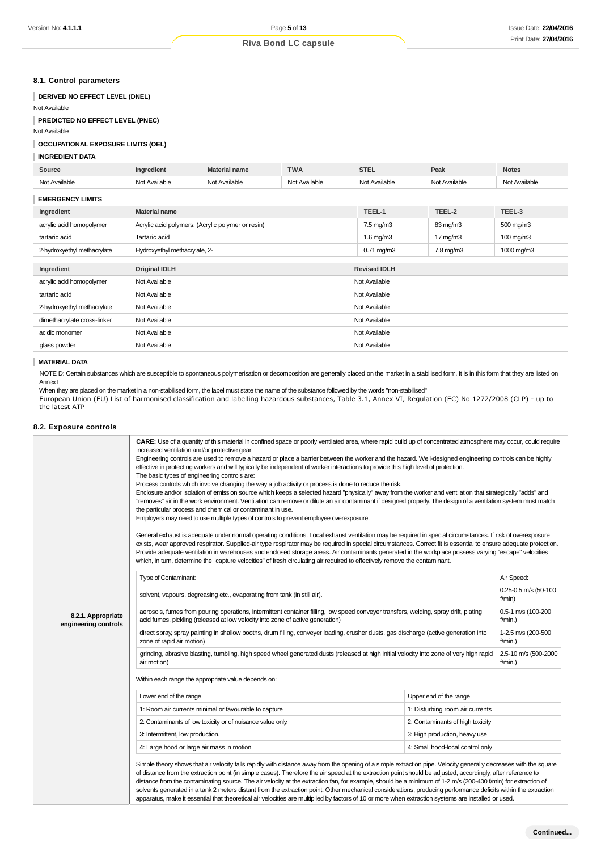# **8.1. Control parameters**

### **DERIVED NO EFFECT LEVEL (DNEL)**

Not Available

### **PREDICTED NO EFFECT LEVEL (PNEC)**

Not Available

#### **OCCUPATIONAL EXPOSURE LIMITS (OEL)**

#### **INGREDIENT DATA**

| Source                      | Ingredient                                        | <b>Material name</b> | <b>TWA</b>    | <b>STEL</b>          | Peak              | <b>Notes</b>  |
|-----------------------------|---------------------------------------------------|----------------------|---------------|----------------------|-------------------|---------------|
| Not Available               | Not Available                                     | Not Available        | Not Available | Not Available        | Not Available     | Not Available |
| <b>EMERGENCY LIMITS</b>     |                                                   |                      |               |                      |                   |               |
| Ingredient                  | <b>Material name</b>                              |                      |               | TEEL-1               | TEEL-2            | TEEL-3        |
| acrylic acid homopolymer    | Acrylic acid polymers; (Acrylic polymer or resin) |                      |               | $7.5 \text{ mg/m}$ 3 | 83 mg/m3          | 500 mg/m3     |
| tartaric acid               | Tartaric acid                                     |                      |               | $1.6$ mg/m $3$       | $17 \text{ mg/m}$ | 100 mg/m3     |
| 2-hydroxyethyl methacrylate | Hydroxyethyl methacrylate, 2-                     |                      |               | $0.71$ mg/m $3$      | 7.8 mg/m3         | 1000 mg/m3    |
|                             |                                                   |                      |               |                      |                   |               |
| Ingredient                  | <b>Original IDLH</b>                              |                      |               | <b>Revised IDLH</b>  |                   |               |
| acrylic acid homopolymer    | Not Available                                     |                      |               | Not Available        |                   |               |
| tartaric acid               | Not Available                                     |                      |               | Not Available        |                   |               |
| 2-hydroxyethyl methacrylate | Not Available                                     |                      |               | Not Available        |                   |               |
| dimethacrylate cross-linker | Not Available                                     |                      |               | Not Available        |                   |               |
| acidic monomer              | Not Available                                     |                      |               | Not Available        |                   |               |
| glass powder                | Not Available                                     |                      |               | Not Available        |                   |               |
|                             |                                                   |                      |               |                      |                   |               |

#### **MATERIAL DATA**

NOTE D: Certain substances which are susceptible to spontaneous polymerisation or decomposition are generally placed on the market in a stabilised form. It is in this form that they are listed on Annex I

When they are placed on the market in a non-stabilised form, the label must state the name of the substance followed by the words "non-stabilised" European Union (EU) List of harmonised classification and labelling hazardous substances, Table 3.1, Annex VI, Regulation (EC) No 1272/2008 (CLP) - up to the latest ATP

#### **8.2. Exposure controls**

| increased ventilation and/or protective gear<br>effective in protecting workers and will typically be independent of worker interactions to provide this high level of protection.<br>The basic types of engineering controls are:<br>Process controls which involve changing the way a job activity or process is done to reduce the risk.<br>the particular process and chemical or contaminant in use.<br>Employers may need to use multiple types of controls to prevent employee overexposure.<br>which, in turn, determine the "capture velocities" of fresh circulating air required to effectively remove the contaminant.<br>Type of Contaminant:<br>solvent, vapours, degreasing etc., evaporating from tank (in still air).<br>aerosols, fumes from pouring operations, intermittent container filling, low speed conveyer transfers, welding, spray drift, plating<br>acid fumes, pickling (released at low velocity into zone of active generation) | CARE: Use of a quantity of this material in confined space or poorly ventilated area, where rapid build up of concentrated atmosphere may occur, could require<br>Engineering controls are used to remove a hazard or place a barrier between the worker and the hazard. Well-designed engineering controls can be highly<br>Enclosure and/or isolation of emission source which keeps a selected hazard "physically" away from the worker and ventilation that strategically "adds" and<br>"removes" air in the work environment. Ventilation can remove or dilute an air contaminant if designed properly. The design of a ventilation system must match<br>General exhaust is adequate under normal operating conditions. Local exhaust ventilation may be required in special circumstances. If risk of overexposure<br>exists, wear approved respirator. Supplied-air type respirator may be required in special circumstances. Correct fit is essential to ensure adequate protection.<br>Provide adequate ventilation in warehouses and enclosed storage areas. Air contaminants generated in the workplace possess varying "escape" velocities<br>Air Speed:<br>0.25-0.5 m/s (50-100<br>f/min)<br>0.5-1 m/s (100-200 |  |  |  |
|------------------------------------------------------------------------------------------------------------------------------------------------------------------------------------------------------------------------------------------------------------------------------------------------------------------------------------------------------------------------------------------------------------------------------------------------------------------------------------------------------------------------------------------------------------------------------------------------------------------------------------------------------------------------------------------------------------------------------------------------------------------------------------------------------------------------------------------------------------------------------------------------------------------------------------------------------------------|------------------------------------------------------------------------------------------------------------------------------------------------------------------------------------------------------------------------------------------------------------------------------------------------------------------------------------------------------------------------------------------------------------------------------------------------------------------------------------------------------------------------------------------------------------------------------------------------------------------------------------------------------------------------------------------------------------------------------------------------------------------------------------------------------------------------------------------------------------------------------------------------------------------------------------------------------------------------------------------------------------------------------------------------------------------------------------------------------------------------------------------------------------------------------------------------------------------------------|--|--|--|
|                                                                                                                                                                                                                                                                                                                                                                                                                                                                                                                                                                                                                                                                                                                                                                                                                                                                                                                                                                  |                                                                                                                                                                                                                                                                                                                                                                                                                                                                                                                                                                                                                                                                                                                                                                                                                                                                                                                                                                                                                                                                                                                                                                                                                              |  |  |  |
|                                                                                                                                                                                                                                                                                                                                                                                                                                                                                                                                                                                                                                                                                                                                                                                                                                                                                                                                                                  |                                                                                                                                                                                                                                                                                                                                                                                                                                                                                                                                                                                                                                                                                                                                                                                                                                                                                                                                                                                                                                                                                                                                                                                                                              |  |  |  |
|                                                                                                                                                                                                                                                                                                                                                                                                                                                                                                                                                                                                                                                                                                                                                                                                                                                                                                                                                                  |                                                                                                                                                                                                                                                                                                                                                                                                                                                                                                                                                                                                                                                                                                                                                                                                                                                                                                                                                                                                                                                                                                                                                                                                                              |  |  |  |
|                                                                                                                                                                                                                                                                                                                                                                                                                                                                                                                                                                                                                                                                                                                                                                                                                                                                                                                                                                  |                                                                                                                                                                                                                                                                                                                                                                                                                                                                                                                                                                                                                                                                                                                                                                                                                                                                                                                                                                                                                                                                                                                                                                                                                              |  |  |  |
|                                                                                                                                                                                                                                                                                                                                                                                                                                                                                                                                                                                                                                                                                                                                                                                                                                                                                                                                                                  |                                                                                                                                                                                                                                                                                                                                                                                                                                                                                                                                                                                                                                                                                                                                                                                                                                                                                                                                                                                                                                                                                                                                                                                                                              |  |  |  |
|                                                                                                                                                                                                                                                                                                                                                                                                                                                                                                                                                                                                                                                                                                                                                                                                                                                                                                                                                                  | f/min.)                                                                                                                                                                                                                                                                                                                                                                                                                                                                                                                                                                                                                                                                                                                                                                                                                                                                                                                                                                                                                                                                                                                                                                                                                      |  |  |  |
| direct spray, spray painting in shallow booths, drum filling, conveyer loading, crusher dusts, gas discharge (active generation into<br>1-2.5 m/s (200-500<br>zone of rapid air motion)<br>$f/min.$ )                                                                                                                                                                                                                                                                                                                                                                                                                                                                                                                                                                                                                                                                                                                                                            |                                                                                                                                                                                                                                                                                                                                                                                                                                                                                                                                                                                                                                                                                                                                                                                                                                                                                                                                                                                                                                                                                                                                                                                                                              |  |  |  |
| grinding, abrasive blasting, tumbling, high speed wheel generated dusts (released at high initial velocity into zone of very high rapid<br>2.5-10 m/s (500-2000<br>air motion)                                                                                                                                                                                                                                                                                                                                                                                                                                                                                                                                                                                                                                                                                                                                                                                   |                                                                                                                                                                                                                                                                                                                                                                                                                                                                                                                                                                                                                                                                                                                                                                                                                                                                                                                                                                                                                                                                                                                                                                                                                              |  |  |  |
| Within each range the appropriate value depends on:                                                                                                                                                                                                                                                                                                                                                                                                                                                                                                                                                                                                                                                                                                                                                                                                                                                                                                              |                                                                                                                                                                                                                                                                                                                                                                                                                                                                                                                                                                                                                                                                                                                                                                                                                                                                                                                                                                                                                                                                                                                                                                                                                              |  |  |  |
|                                                                                                                                                                                                                                                                                                                                                                                                                                                                                                                                                                                                                                                                                                                                                                                                                                                                                                                                                                  | Upper end of the range                                                                                                                                                                                                                                                                                                                                                                                                                                                                                                                                                                                                                                                                                                                                                                                                                                                                                                                                                                                                                                                                                                                                                                                                       |  |  |  |
|                                                                                                                                                                                                                                                                                                                                                                                                                                                                                                                                                                                                                                                                                                                                                                                                                                                                                                                                                                  | 1: Disturbing room air currents                                                                                                                                                                                                                                                                                                                                                                                                                                                                                                                                                                                                                                                                                                                                                                                                                                                                                                                                                                                                                                                                                                                                                                                              |  |  |  |
|                                                                                                                                                                                                                                                                                                                                                                                                                                                                                                                                                                                                                                                                                                                                                                                                                                                                                                                                                                  | 2: Contaminants of high toxicity                                                                                                                                                                                                                                                                                                                                                                                                                                                                                                                                                                                                                                                                                                                                                                                                                                                                                                                                                                                                                                                                                                                                                                                             |  |  |  |
|                                                                                                                                                                                                                                                                                                                                                                                                                                                                                                                                                                                                                                                                                                                                                                                                                                                                                                                                                                  | 3: High production, heavy use                                                                                                                                                                                                                                                                                                                                                                                                                                                                                                                                                                                                                                                                                                                                                                                                                                                                                                                                                                                                                                                                                                                                                                                                |  |  |  |
| 4: Large hood or large air mass in motion<br>4: Small hood-local control only                                                                                                                                                                                                                                                                                                                                                                                                                                                                                                                                                                                                                                                                                                                                                                                                                                                                                    |                                                                                                                                                                                                                                                                                                                                                                                                                                                                                                                                                                                                                                                                                                                                                                                                                                                                                                                                                                                                                                                                                                                                                                                                                              |  |  |  |
|                                                                                                                                                                                                                                                                                                                                                                                                                                                                                                                                                                                                                                                                                                                                                                                                                                                                                                                                                                  | Lower end of the range<br>1: Room air currents minimal or favourable to capture<br>2: Contaminants of low toxicity or of nuisance value only.<br>3: Intermittent, low production.<br>Simple theory shows that air velocity falls rapidly with distance away from the opening of a simple extraction pipe. Velocity generally decreases with the square<br>of distance from the extraction point (in simple cases). Therefore the air speed at the extraction point should be adjusted, accordingly, after reference to                                                                                                                                                                                                                                                                                                                                                                                                                                                                                                                                                                                                                                                                                                       |  |  |  |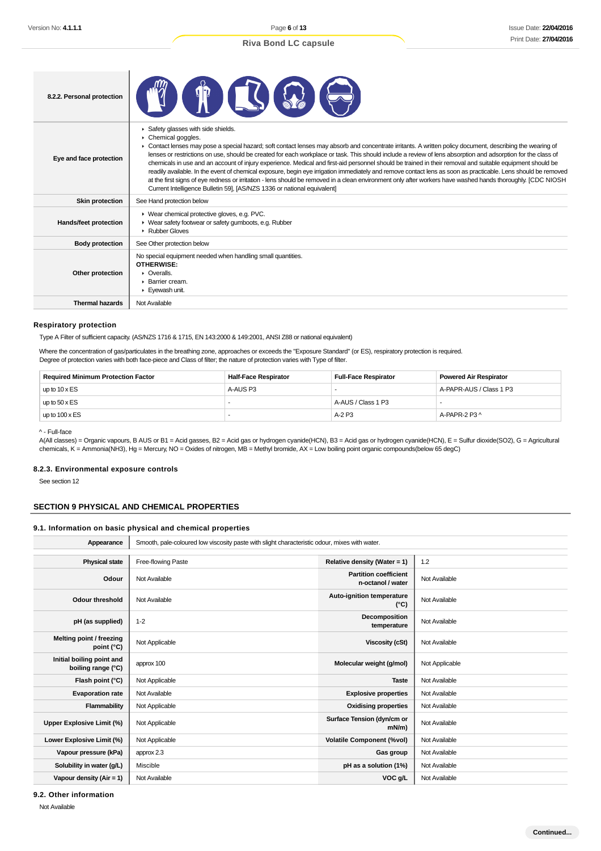| 8.2.2. Personal protection |                                                                                                                                                                                                                                                                                                                                                                                                                                                                                                                                                                                                                                                                                                                                                                                                                                                                                                                                                            |
|----------------------------|------------------------------------------------------------------------------------------------------------------------------------------------------------------------------------------------------------------------------------------------------------------------------------------------------------------------------------------------------------------------------------------------------------------------------------------------------------------------------------------------------------------------------------------------------------------------------------------------------------------------------------------------------------------------------------------------------------------------------------------------------------------------------------------------------------------------------------------------------------------------------------------------------------------------------------------------------------|
| Eye and face protection    | Safety glasses with side shields.<br>Chemical goggles.<br>Contact lenses may pose a special hazard; soft contact lenses may absorb and concentrate irritants. A written policy document, describing the wearing of<br>lenses or restrictions on use, should be created for each workplace or task. This should include a review of lens absorption and adsorption for the class of<br>chemicals in use and an account of injury experience. Medical and first-aid personnel should be trained in their removal and suitable equipment should be<br>readily available. In the event of chemical exposure, begin eye irrigation immediately and remove contact lens as soon as practicable. Lens should be removed<br>at the first signs of eye redness or irritation - lens should be removed in a clean environment only after workers have washed hands thoroughly. [CDC NIOSH<br>Current Intelligence Bulletin 59], [AS/NZS 1336 or national equivalent] |
| <b>Skin protection</b>     | See Hand protection below                                                                                                                                                                                                                                                                                                                                                                                                                                                                                                                                                                                                                                                                                                                                                                                                                                                                                                                                  |
| Hands/feet protection      | ▶ Wear chemical protective gloves, e.g. PVC.<br>▶ Wear safety footwear or safety gumboots, e.g. Rubber<br>Rubber Gloves                                                                                                                                                                                                                                                                                                                                                                                                                                                                                                                                                                                                                                                                                                                                                                                                                                    |
| <b>Body protection</b>     | See Other protection below                                                                                                                                                                                                                                                                                                                                                                                                                                                                                                                                                                                                                                                                                                                                                                                                                                                                                                                                 |
| Other protection           | No special equipment needed when handling small quantities.<br><b>OTHERWISE:</b><br>$\triangleright$ Overalls.<br>$\blacktriangleright$ Barrier cream.<br>Eyewash unit.                                                                                                                                                                                                                                                                                                                                                                                                                                                                                                                                                                                                                                                                                                                                                                                    |
| <b>Thermal hazards</b>     | Not Available                                                                                                                                                                                                                                                                                                                                                                                                                                                                                                                                                                                                                                                                                                                                                                                                                                                                                                                                              |

#### **Respiratory protection**

Type A Filter of sufficient capacity. (AS/NZS 1716 & 1715, EN 143:2000 & 149:2001, ANSI Z88 or national equivalent)

Where the concentration of gas/particulates in the breathing zone, approaches or exceeds the "Exposure Standard" (or ES), respiratory protection is required. Degree of protection varies with both face-piece and Class of filter; the nature of protection varies with Type of filter.

| <b>Required Minimum Protection Factor</b> | <b>Half-Face Respirator</b> | <b>Full-Face Respirator</b> | <b>Powered Air Respirator</b> |
|-------------------------------------------|-----------------------------|-----------------------------|-------------------------------|
| up to $10 \times ES$                      | A-AUS P3                    |                             | A-PAPR-AUS / Class 1 P3       |
| up to $50 \times ES$                      |                             | A-AUS / Class 1 P3          |                               |
| up to $100 \times ES$                     |                             | $A-2P3$                     | A-PAPR-2 P3 ^                 |

^ - Full-face

A(All classes) = Organic vapours, B AUS or B1 = Acid gasses, B2 = Acid gas or hydrogen cyanide(HCN), B3 = Acid gas or hydrogen cyanide(HCN), E = Sulfur dioxide(SO2), G = Agricultural chemicals, K = Ammonia(NH3), Hg = Mercury, NO = Oxides of nitrogen, MB = Methyl bromide, AX = Low boiling point organic compounds(below 65 degC)

#### **8.2.3. Environmental exposure controls**

See section 12

# **SECTION 9 PHYSICAL AND CHEMICAL PROPERTIES**

#### **9.1. Information on basic physical and chemical properties**

| Appearance                                      | Smooth, pale-coloured low viscosity paste with slight characteristic odour, mixes with water. |                                                   |                |  |
|-------------------------------------------------|-----------------------------------------------------------------------------------------------|---------------------------------------------------|----------------|--|
|                                                 |                                                                                               |                                                   |                |  |
| <b>Physical state</b>                           | Free-flowing Paste                                                                            | Relative density (Water = 1)                      | 1.2            |  |
| Odour                                           | Not Available                                                                                 | <b>Partition coefficient</b><br>n-octanol / water | Not Available  |  |
| Odour threshold                                 | Not Available                                                                                 | Auto-ignition temperature<br>$(^{\circ}C)$        | Not Available  |  |
| pH (as supplied)                                | $1 - 2$                                                                                       | Decomposition<br>temperature                      | Not Available  |  |
| Melting point / freezing<br>point $(^{\circ}C)$ | Not Applicable                                                                                | Viscosity (cSt)                                   | Not Available  |  |
| Initial boiling point and<br>boiling range (°C) | approx 100                                                                                    | Molecular weight (g/mol)                          | Not Applicable |  |
| Flash point (°C)                                | Not Applicable                                                                                | <b>Taste</b>                                      | Not Available  |  |
| <b>Evaporation rate</b>                         | Not Available                                                                                 | <b>Explosive properties</b>                       | Not Available  |  |
| Flammability                                    | Not Applicable                                                                                | <b>Oxidising properties</b>                       | Not Available  |  |
| Upper Explosive Limit (%)                       | Not Applicable                                                                                | Surface Tension (dyn/cm or<br>$mN/m$ )            | Not Available  |  |
| Lower Explosive Limit (%)                       | Not Applicable                                                                                | <b>Volatile Component (%vol)</b>                  | Not Available  |  |
| Vapour pressure (kPa)                           | approx 2.3                                                                                    | Gas group                                         | Not Available  |  |
| Solubility in water (g/L)                       | Miscible                                                                                      | pH as a solution (1%)                             | Not Available  |  |
| Vapour density ( $Air = 1$ )                    | Not Available                                                                                 | VOC g/L                                           | Not Available  |  |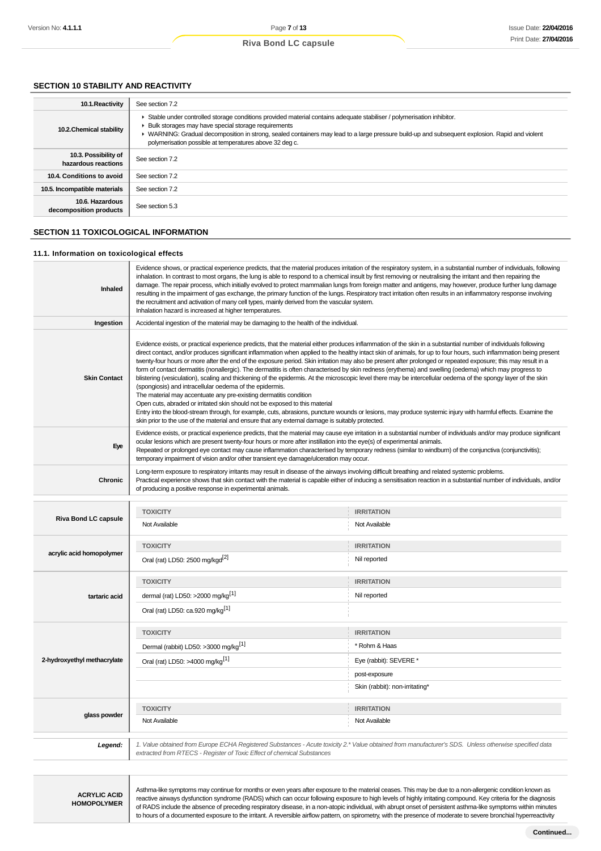# **SECTION 10 STABILITY AND REACTIVITY**

| 10.1. Reactivity                            | See section 7.2                                                                                                                                                                                                                                                                                                                                                                              |
|---------------------------------------------|----------------------------------------------------------------------------------------------------------------------------------------------------------------------------------------------------------------------------------------------------------------------------------------------------------------------------------------------------------------------------------------------|
| 10.2. Chemical stability                    | Stable under controlled storage conditions provided material contains adequate stabiliser / polymerisation inhibitor.<br>▶ Bulk storages may have special storage requirements<br>▶ WARNING: Gradual decomposition in strong, sealed containers may lead to a large pressure build-up and subsequent explosion. Rapid and violent<br>polymerisation possible at temperatures above 32 deg c. |
| 10.3. Possibility of<br>hazardous reactions | See section 7.2                                                                                                                                                                                                                                                                                                                                                                              |
| 10.4. Conditions to avoid                   | See section 7.2                                                                                                                                                                                                                                                                                                                                                                              |
| 10.5. Incompatible materials                | See section 7.2                                                                                                                                                                                                                                                                                                                                                                              |
| 10.6. Hazardous<br>decomposition products   | See section 5.3                                                                                                                                                                                                                                                                                                                                                                              |

#### **SECTION 11 TOXICOLOGICAL INFORMATION**

#### **11.1. Information on toxicological effects**

| Inhaled             | Evidence shows, or practical experience predicts, that the material produces irritation of the respiratory system, in a substantial number of individuals, following<br>inhalation. In contrast to most organs, the lung is able to respond to a chemical insult by first removing or neutralising the irritant and then repairing the<br>damage. The repair process, which initially evolved to protect mammalian lungs from foreign matter and antigens, may however, produce further lung damage<br>resulting in the impairment of gas exchange, the primary function of the lungs. Respiratory tract irritation often results in an inflammatory response involving<br>the recruitment and activation of many cell types, mainly derived from the vascular system.<br>Inhalation hazard is increased at higher temperatures.                                                                                                                                                                                                                                                                                                                                                                                                                                                                                      |
|---------------------|-----------------------------------------------------------------------------------------------------------------------------------------------------------------------------------------------------------------------------------------------------------------------------------------------------------------------------------------------------------------------------------------------------------------------------------------------------------------------------------------------------------------------------------------------------------------------------------------------------------------------------------------------------------------------------------------------------------------------------------------------------------------------------------------------------------------------------------------------------------------------------------------------------------------------------------------------------------------------------------------------------------------------------------------------------------------------------------------------------------------------------------------------------------------------------------------------------------------------------------------------------------------------------------------------------------------------|
| Ingestion           | Accidental ingestion of the material may be damaging to the health of the individual.                                                                                                                                                                                                                                                                                                                                                                                                                                                                                                                                                                                                                                                                                                                                                                                                                                                                                                                                                                                                                                                                                                                                                                                                                                 |
| <b>Skin Contact</b> | Evidence exists, or practical experience predicts, that the material either produces inflammation of the skin in a substantial number of individuals following<br>direct contact, and/or produces significant inflammation when applied to the healthy intact skin of animals, for up to four hours, such inflammation being present<br>twenty-four hours or more after the end of the exposure period. Skin irritation may also be present after prolonged or repeated exposure; this may result in a<br>form of contact dermatitis (nonallergic). The dermatitis is often characterised by skin redness (erythema) and swelling (oedema) which may progress to<br>blistering (vesiculation), scaling and thickening of the epidermis. At the microscopic level there may be intercellular oedema of the spongy layer of the skin<br>(spongiosis) and intracellular oedema of the epidermis.<br>The material may accentuate any pre-existing dermatitis condition<br>Open cuts, abraded or irritated skin should not be exposed to this material<br>Entry into the blood-stream through, for example, cuts, abrasions, puncture wounds or lesions, may produce systemic injury with harmful effects. Examine the<br>skin prior to the use of the material and ensure that any external damage is suitably protected. |
| Eye                 | Evidence exists, or practical experience predicts, that the material may cause eye irritation in a substantial number of individuals and/or may produce significant<br>ocular lesions which are present twenty-four hours or more after instillation into the eye(s) of experimental animals.<br>Repeated or prolonged eye contact may cause inflammation characterised by temporary redness (similar to windburn) of the conjunctiva (conjunctivitis);<br>temporary impairment of vision and/or other transient eye damage/ulceration may occur.                                                                                                                                                                                                                                                                                                                                                                                                                                                                                                                                                                                                                                                                                                                                                                     |
| <b>Chronic</b>      | Long-term exposure to respiratory irritants may result in disease of the airways involving difficult breathing and related systemic problems.<br>Practical experience shows that skin contact with the material is capable either of inducing a sensitisation reaction in a substantial number of individuals, and/or<br>of producing a positive response in experimental animals.                                                                                                                                                                                                                                                                                                                                                                                                                                                                                                                                                                                                                                                                                                                                                                                                                                                                                                                                    |

|                             | <b>TOXICITY</b>                                                                                                                                       | <b>IRRITATION</b>              |  |  |
|-----------------------------|-------------------------------------------------------------------------------------------------------------------------------------------------------|--------------------------------|--|--|
| <b>Riva Bond LC capsule</b> | Not Available                                                                                                                                         | Not Available                  |  |  |
|                             | <b>TOXICITY</b>                                                                                                                                       | <b>IRRITATION</b>              |  |  |
| acrylic acid homopolymer    | Oral (rat) LD50: 2500 mg/kgd <sup>[2]</sup>                                                                                                           | Nil reported                   |  |  |
|                             | <b>TOXICITY</b>                                                                                                                                       | <b>IRRITATION</b>              |  |  |
| tartaric acid               | dermal (rat) LD50: >2000 mg/kg <sup>[1]</sup>                                                                                                         | Nil reported                   |  |  |
|                             | Oral (rat) LD50: ca.920 mg/kg <sup>[1]</sup>                                                                                                          |                                |  |  |
|                             | <b>TOXICITY</b>                                                                                                                                       | <b>IRRITATION</b>              |  |  |
|                             | Dermal (rabbit) LD50: >3000 mg/kg <sup>[1]</sup>                                                                                                      | * Rohm & Haas                  |  |  |
| 2-hydroxyethyl methacrylate | Oral (rat) LD50: >4000 mg/kg <sup>[1]</sup>                                                                                                           | Eye (rabbit): SEVERE *         |  |  |
|                             |                                                                                                                                                       | post-exposure                  |  |  |
|                             |                                                                                                                                                       | Skin (rabbit): non-irritating* |  |  |
|                             | <b>TOXICITY</b>                                                                                                                                       | <b>IRRITATION</b>              |  |  |
| glass powder                | Not Available                                                                                                                                         | Not Available                  |  |  |
| Legend:                     | 1. Value obtained from Europe ECHA Registered Substances - Acute toxicity 2.* Value obtained from manufacturer's SDS. Unless otherwise specified data |                                |  |  |

extracted from RTECS - Register of Toxic Effect of chemical Substances

**ACRYLIC ACID HOMOPOLYMER**

Asthma-like symptoms may continue for months or even years after exposure to the material ceases. This may be due to a non-allergenic condition known as reactive airways dysfunction syndrome (RADS) which can occur following exposure to high levels of highly irritating compound. Key criteria for the diagnosis of RADS include the absence of preceding respiratory disease, in a non-atopic individual, with abrupt onset of persistent asthma-like symptoms within minutes to hours of a documented exposure to the irritant. A reversible airflow pattern, on spirometry, with the presence of moderate to severe bronchial hyperreactivity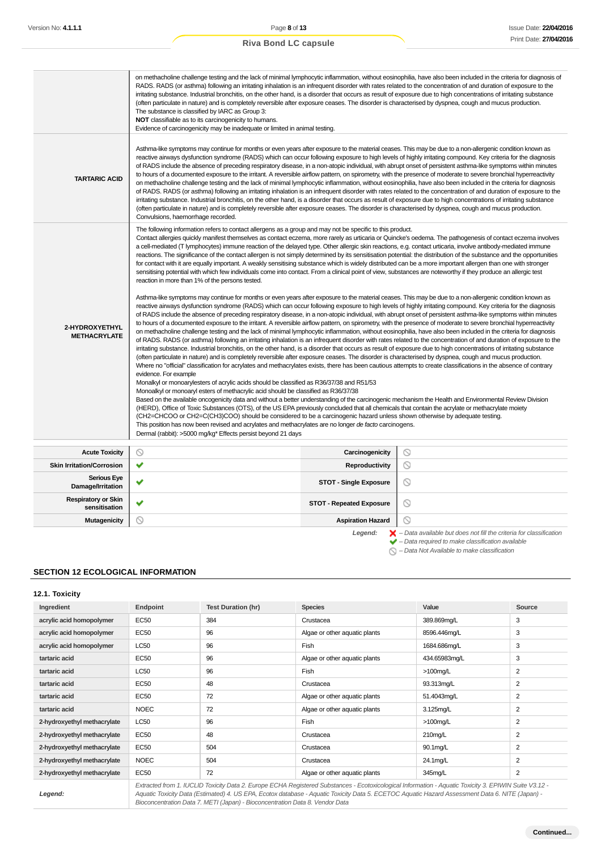|                                             | on methacholine challenge testing and the lack of minimal lymphocytic inflammation, without eosinophilia, have also been included in the criteria for diagnosis of<br>RADS. RADS (or asthma) following an irritating inhalation is an infrequent disorder with rates related to the concentration of and duration of exposure to the<br>irritating substance. Industrial bronchitis, on the other hand, is a disorder that occurs as result of exposure due to high concentrations of irritating substance<br>(often particulate in nature) and is completely reversible after exposure ceases. The disorder is characterised by dyspnea, cough and mucus production.<br>The substance is classified by IARC as Group 3:<br>NOT classifiable as to its carcinogenicity to humans.<br>Evidence of carcinogenicity may be inadequate or limited in animal testing.                                                                                                                                                                                                                                                                                                                                                                                                                                                                                                                                                                                                                                                                                                                                                                                                                                                                                                                                                                                                                                                                                                                                                                                                                                                                                                                                                                                                                                                                                                                                                                                                                                                                                                                                                                                                                                                                                                                                                                                                                                                                                                                                                                                                                                                                                                                                                                                                                    |                                                 |   |  |  |
|---------------------------------------------|-------------------------------------------------------------------------------------------------------------------------------------------------------------------------------------------------------------------------------------------------------------------------------------------------------------------------------------------------------------------------------------------------------------------------------------------------------------------------------------------------------------------------------------------------------------------------------------------------------------------------------------------------------------------------------------------------------------------------------------------------------------------------------------------------------------------------------------------------------------------------------------------------------------------------------------------------------------------------------------------------------------------------------------------------------------------------------------------------------------------------------------------------------------------------------------------------------------------------------------------------------------------------------------------------------------------------------------------------------------------------------------------------------------------------------------------------------------------------------------------------------------------------------------------------------------------------------------------------------------------------------------------------------------------------------------------------------------------------------------------------------------------------------------------------------------------------------------------------------------------------------------------------------------------------------------------------------------------------------------------------------------------------------------------------------------------------------------------------------------------------------------------------------------------------------------------------------------------------------------------------------------------------------------------------------------------------------------------------------------------------------------------------------------------------------------------------------------------------------------------------------------------------------------------------------------------------------------------------------------------------------------------------------------------------------------------------------------------------------------------------------------------------------------------------------------------------------------------------------------------------------------------------------------------------------------------------------------------------------------------------------------------------------------------------------------------------------------------------------------------------------------------------------------------------------------------------------------------------------------------------------------------------------------|-------------------------------------------------|---|--|--|
| <b>TARTARIC ACID</b>                        | Asthma-like symptoms may continue for months or even years after exposure to the material ceases. This may be due to a non-allergenic condition known as<br>reactive airways dysfunction syndrome (RADS) which can occur following exposure to high levels of highly irritating compound. Key criteria for the diagnosis<br>of RADS include the absence of preceding respiratory disease, in a non-atopic individual, with abrupt onset of persistent asthma-like symptoms within minutes<br>to hours of a documented exposure to the irritant. A reversible airflow pattern, on spirometry, with the presence of moderate to severe bronchial hyperreactivity<br>on methacholine challenge testing and the lack of minimal lymphocytic inflammation, without eosinophilia, have also been included in the criteria for diagnosis<br>of RADS. RADS (or asthma) following an irritating inhalation is an infrequent disorder with rates related to the concentration of and duration of exposure to the<br>irritating substance. Industrial bronchitis, on the other hand, is a disorder that occurs as result of exposure due to high concentrations of irritating substance<br>(often particulate in nature) and is completely reversible after exposure ceases. The disorder is characterised by dyspnea, cough and mucus production.<br>Convulsions, haemorrhage recorded.                                                                                                                                                                                                                                                                                                                                                                                                                                                                                                                                                                                                                                                                                                                                                                                                                                                                                                                                                                                                                                                                                                                                                                                                                                                                                                                                                                                                                                                                                                                                                                                                                                                                                                                                                                                                                                                                                                       |                                                 |   |  |  |
| 2-HYDROXYETHYL<br><b>METHACRYLATE</b>       | The following information refers to contact allergens as a group and may not be specific to this product.<br>Contact allergies quickly manifest themselves as contact eczema, more rarely as urticaria or Quincke's oedema. The pathogenesis of contact eczema involves<br>a cell-mediated (T lymphocytes) immune reaction of the delayed type. Other allergic skin reactions, e.g. contact urticaria, involve antibody-mediated immune<br>reactions. The significance of the contact allergen is not simply determined by its sensitisation potential: the distribution of the substance and the opportunities<br>for contact with it are equally important. A weakly sensitising substance which is widely distributed can be a more important allergen than one with stronger<br>sensitising potential with which few individuals come into contact. From a clinical point of view, substances are noteworthy if they produce an allergic test<br>reaction in more than 1% of the persons tested.<br>Asthma-like symptoms may continue for months or even years after exposure to the material ceases. This may be due to a non-allergenic condition known as<br>reactive airways dysfunction syndrome (RADS) which can occur following exposure to high levels of highly irritating compound. Key criteria for the diagnosis<br>of RADS include the absence of preceding respiratory disease, in a non-atopic individual, with abrupt onset of persistent asthma-like symptoms within minutes<br>to hours of a documented exposure to the irritant. A reversible airflow pattern, on spirometry, with the presence of moderate to severe bronchial hyperreactivity<br>on methacholine challenge testing and the lack of minimal lymphocytic inflammation, without eosinophilia, have also been included in the criteria for diagnosis<br>of RADS. RADS (or asthma) following an irritating inhalation is an infrequent disorder with rates related to the concentration of and duration of exposure to the<br>irritating substance. Industrial bronchitis, on the other hand, is a disorder that occurs as result of exposure due to high concentrations of irritating substance<br>(often particulate in nature) and is completely reversible after exposure ceases. The disorder is characterised by dyspnea, cough and mucus production.<br>Where no "official" classification for acrylates and methacrylates exists, there has been cautious attempts to create classifications in the absence of contrary<br>evidence. For example<br>Monalkyl or monoarylesters of acrylic acids should be classified as R36/37/38 and R51/53<br>Monoalkyl or monoaryl esters of methacrylic acid should be classified as R36/37/38<br>Based on the available oncogenicity data and without a better understanding of the carcinogenic mechanism the Health and Environmental Review Division<br>(HERD), Office of Toxic Substances (OTS), of the US EPA previously concluded that all chemicals that contain the acrylate or methacrylate moiety<br>(CH2=CHCOO or CH2=C(CH3)COO) should be considered to be a carcinogenic hazard unless shown otherwise by adequate testing.<br>This position has now been revised and acrylates and methacrylates are no longer de facto carcinogens. |                                                 |   |  |  |
| <b>Acute Toxicity</b>                       | ◎                                                                                                                                                                                                                                                                                                                                                                                                                                                                                                                                                                                                                                                                                                                                                                                                                                                                                                                                                                                                                                                                                                                                                                                                                                                                                                                                                                                                                                                                                                                                                                                                                                                                                                                                                                                                                                                                                                                                                                                                                                                                                                                                                                                                                                                                                                                                                                                                                                                                                                                                                                                                                                                                                                                                                                                                                                                                                                                                                                                                                                                                                                                                                                                                                                                                                   | Carcinogenicity                                 | ல |  |  |
| <b>Skin Irritation/Corrosion</b>            | ✔                                                                                                                                                                                                                                                                                                                                                                                                                                                                                                                                                                                                                                                                                                                                                                                                                                                                                                                                                                                                                                                                                                                                                                                                                                                                                                                                                                                                                                                                                                                                                                                                                                                                                                                                                                                                                                                                                                                                                                                                                                                                                                                                                                                                                                                                                                                                                                                                                                                                                                                                                                                                                                                                                                                                                                                                                                                                                                                                                                                                                                                                                                                                                                                                                                                                                   | Reproductivity                                  | ◎ |  |  |
| <b>Serious Eye</b><br>Damage/Irritation     | ✔                                                                                                                                                                                                                                                                                                                                                                                                                                                                                                                                                                                                                                                                                                                                                                                                                                                                                                                                                                                                                                                                                                                                                                                                                                                                                                                                                                                                                                                                                                                                                                                                                                                                                                                                                                                                                                                                                                                                                                                                                                                                                                                                                                                                                                                                                                                                                                                                                                                                                                                                                                                                                                                                                                                                                                                                                                                                                                                                                                                                                                                                                                                                                                                                                                                                                   | $\circledcirc$<br><b>STOT - Single Exposure</b> |   |  |  |
| <b>Respiratory or Skin</b><br>sensitisation |                                                                                                                                                                                                                                                                                                                                                                                                                                                                                                                                                                                                                                                                                                                                                                                                                                                                                                                                                                                                                                                                                                                                                                                                                                                                                                                                                                                                                                                                                                                                                                                                                                                                                                                                                                                                                                                                                                                                                                                                                                                                                                                                                                                                                                                                                                                                                                                                                                                                                                                                                                                                                                                                                                                                                                                                                                                                                                                                                                                                                                                                                                                                                                                                                                                                                     | <b>STOT - Repeated Exposure</b>                 | ◎ |  |  |

Legend:  $\blacktriangleright$  - Data available but does not fill the criteria for classification<br>  $\blacktriangleright$  - Data required to make classification available

 $\bigcirc$  – Data Not Available to make classification

# **SECTION 12 ECOLOGICAL INFORMATION**

| 12.1. Toxicity              |                                                                                                                                                       |                           |                               |               |                |
|-----------------------------|-------------------------------------------------------------------------------------------------------------------------------------------------------|---------------------------|-------------------------------|---------------|----------------|
| Ingredient                  | Endpoint                                                                                                                                              | <b>Test Duration (hr)</b> | <b>Species</b>                | Value         | Source         |
| acrylic acid homopolymer    | <b>EC50</b>                                                                                                                                           | 384                       | Crustacea                     | 389.869mg/L   | 3              |
| acrylic acid homopolymer    | EC50                                                                                                                                                  | 96                        | Algae or other aquatic plants | 8596.446mg/L  | 3              |
| acrylic acid homopolymer    | <b>LC50</b>                                                                                                                                           | 96                        | Fish                          | 1684.686mg/L  | 3              |
| tartaric acid               | EC50                                                                                                                                                  | 96                        | Algae or other aquatic plants | 434.65983mg/L | 3              |
| tartaric acid               | <b>LC50</b>                                                                                                                                           | 96                        | Fish                          | $>100$ mg/L   | $\overline{2}$ |
| tartaric acid               | EC50                                                                                                                                                  | 48                        | Crustacea                     | 93.313mg/L    | $\overline{2}$ |
| tartaric acid               | EC50                                                                                                                                                  | 72                        | Algae or other aquatic plants | 51.4043mg/L   | $\overline{2}$ |
| tartaric acid               | <b>NOEC</b>                                                                                                                                           | 72                        | Algae or other aquatic plants | 3.125mg/L     | 2              |
| 2-hydroxyethyl methacrylate | <b>LC50</b>                                                                                                                                           | 96                        | Fish                          | $>100$ mg/L   | $\overline{2}$ |
| 2-hydroxyethyl methacrylate | EC50                                                                                                                                                  | 48                        | Crustacea                     | 210mg/L       | $\overline{2}$ |
| 2-hydroxyethyl methacrylate | EC50                                                                                                                                                  | 504                       | Crustacea                     | 90.1mg/L      | 2              |
| 2-hydroxyethyl methacrylate | <b>NOEC</b>                                                                                                                                           | 504                       | Crustacea                     | 24.1mg/L      | $\overline{2}$ |
| 2-hydroxyethyl methacrylate | <b>EC50</b>                                                                                                                                           | 72                        | Algae or other aquatic plants | 345mg/L       | $\overline{2}$ |
|                             | Extracted from 1. IUCLID Toxicity Data 2. Europe ECHA Registered Substances - Ecotoxicological Information - Aquatic Toxicity 3. EPIWIN Suite V3.12 - |                           |                               |               |                |

**Mutagenicity Aspiration Hazard Contained Aspiration Hazard Contained Aspiration Hazard Contained Aspiration Hazard** 

**Legend:**

Aquatic Toxicity Data (Estimated) 4. US EPA, Ecotox database - Aquatic Toxicity Data 5. ECETOC Aquatic Hazard Assessment Data 6. NITE (Japan) - Bioconcentration Data 7. METI (Japan) - Bioconcentration Data 8. Vendor Data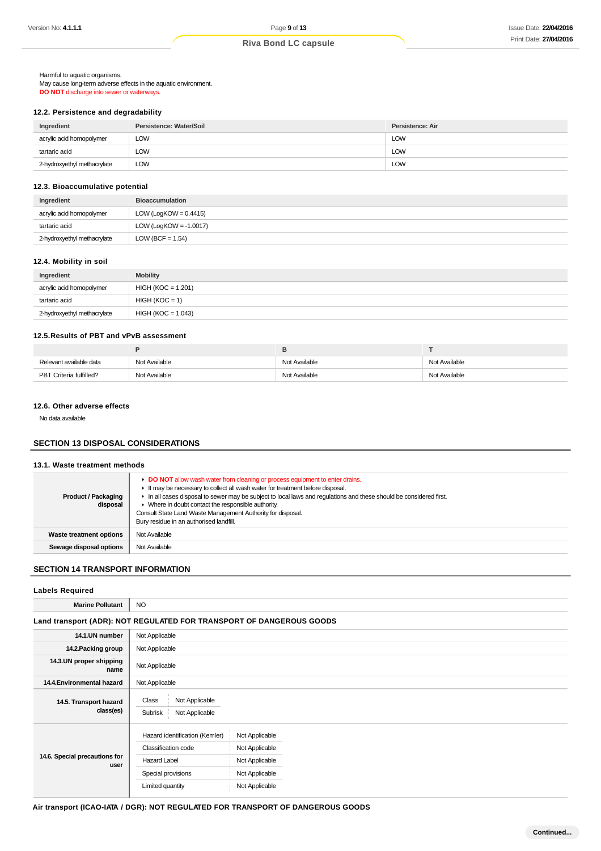Harmful to aquatic organisms. May cause long-term adverse effects in the aquatic environment. **DO NOT** discharge into sewer or waterways.

#### **12.2. Persistence and degradability**

| Ingredient                  | Persistence: Water/Soil | Persistence: Air |
|-----------------------------|-------------------------|------------------|
| acrylic acid homopolymer    | ∟OW                     | LOW              |
| tartaric acid               | ∟OW                     | LOW              |
| 2-hydroxyethyl methacrylate | ∟OW                     | <b>LOW</b>       |

#### **12.3. Bioaccumulative potential**

| Ingredient                  | <b>Bioaccumulation</b>    |
|-----------------------------|---------------------------|
| acrylic acid homopolymer    | LOW (LogKOW = $0.4415$ )  |
| tartaric acid               | LOW (LogKOW = $-1.0017$ ) |
| 2-hydroxyethyl methacrylate | LOW (BCF = $1.54$ )       |

#### **12.4. Mobility in soil**

| Ingredient                  | <b>Mobility</b>      |
|-----------------------------|----------------------|
| acrylic acid homopolymer    | $HIGH (KOC = 1.201)$ |
| tartaric acid               | $HIGH (KOC = 1)$     |
| 2-hydroxyethyl methacrylate | $HIGH (KOC = 1.043)$ |

#### **12.5.Results of PBT and vPvB assessment**

|                         | Е             |               |               |
|-------------------------|---------------|---------------|---------------|
| Relevant available data | Not Available | Not Available | Not Available |
| PBT Criteria fulfilled? | Not Available | Not Available | Not Available |

### **12.6. Other adverse effects**

No data available

# **SECTION 13 DISPOSAL CONSIDERATIONS**

#### **13.1. Waste treatment methods**

| <b>Product / Packaging</b><br>disposal | DO NOT allow wash water from cleaning or process equipment to enter drains.<br>It may be necessary to collect all wash water for treatment before disposal.<br>In all cases disposal to sewer may be subject to local laws and regulations and these should be considered first.<br>• Where in doubt contact the responsible authority.<br>Consult State Land Waste Management Authority for disposal.<br>Bury residue in an authorised landfill. |
|----------------------------------------|---------------------------------------------------------------------------------------------------------------------------------------------------------------------------------------------------------------------------------------------------------------------------------------------------------------------------------------------------------------------------------------------------------------------------------------------------|
| <b>Waste treatment options</b>         | Not Available                                                                                                                                                                                                                                                                                                                                                                                                                                     |
| Sewage disposal options                | Not Available                                                                                                                                                                                                                                                                                                                                                                                                                                     |

# **SECTION 14 TRANSPORT INFORMATION**

# **Labels Required Marine Pollutant** NO **Land transport (ADR): NOT REGULATED FOR TRANSPORT OF DANGEROUS GOODS 14.1.UN number** Not Applicable **14.2. Packing group** Not Applicable

| 14.3.UN proper shipping<br>name       | Not Applicable                                                                                                         |                                                                                        |  |  |
|---------------------------------------|------------------------------------------------------------------------------------------------------------------------|----------------------------------------------------------------------------------------|--|--|
| 14.4. Environmental hazard            | Not Applicable                                                                                                         |                                                                                        |  |  |
| 14.5. Transport hazard<br>class(es)   | Class<br>Not Applicable<br>Not Applicable<br>Subrisk                                                                   |                                                                                        |  |  |
| 14.6. Special precautions for<br>user | Hazard identification (Kemler)<br>Classification code<br><b>Hazard Label</b><br>Special provisions<br>Limited quantity | Not Applicable<br>Not Applicable<br>Not Applicable<br>Not Applicable<br>Not Applicable |  |  |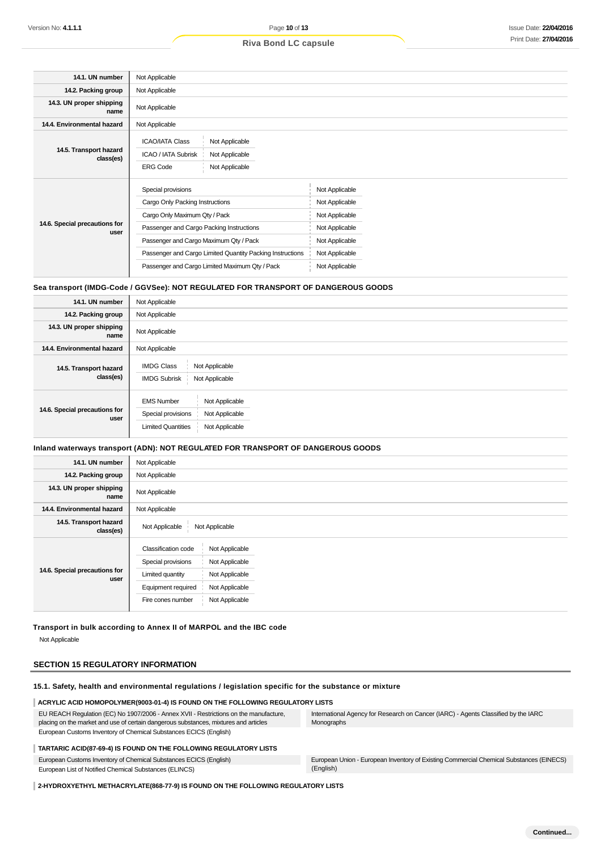| 14.1. UN number                       | Not Applicable                                                                                                                                                                                                                                                                              |                                                                                                                            |  |  |  |
|---------------------------------------|---------------------------------------------------------------------------------------------------------------------------------------------------------------------------------------------------------------------------------------------------------------------------------------------|----------------------------------------------------------------------------------------------------------------------------|--|--|--|
| 14.2. Packing group                   | Not Applicable                                                                                                                                                                                                                                                                              |                                                                                                                            |  |  |  |
| 14.3. UN proper shipping<br>name      | Not Applicable                                                                                                                                                                                                                                                                              |                                                                                                                            |  |  |  |
| 14.4. Environmental hazard            | Not Applicable                                                                                                                                                                                                                                                                              |                                                                                                                            |  |  |  |
| 14.5. Transport hazard<br>class(es)   | Not Applicable<br><b>ICAO/IATA Class</b><br>ICAO / IATA Subrisk<br>Not Applicable<br>Not Applicable<br><b>ERG Code</b>                                                                                                                                                                      |                                                                                                                            |  |  |  |
| 14.6. Special precautions for<br>user | Special provisions<br>Cargo Only Packing Instructions<br>Cargo Only Maximum Qty / Pack<br>Passenger and Cargo Packing Instructions<br>Passenger and Cargo Maximum Qty / Pack<br>Passenger and Cargo Limited Quantity Packing Instructions<br>Passenger and Cargo Limited Maximum Qty / Pack | Not Applicable<br>Not Applicable<br>Not Applicable<br>Not Applicable<br>Not Applicable<br>Not Applicable<br>Not Applicable |  |  |  |

#### **Sea transport (IMDG-Code / GGVSee): NOT REGULATED FOR TRANSPORT OF DANGEROUS GOODS**

| 14.1. UN number                       | Not Applicable                                                                                                             |
|---------------------------------------|----------------------------------------------------------------------------------------------------------------------------|
| 14.2. Packing group                   | Not Applicable                                                                                                             |
| 14.3. UN proper shipping<br>name      | Not Applicable                                                                                                             |
| 14.4. Environmental hazard            | Not Applicable                                                                                                             |
| 14.5. Transport hazard<br>class(es)   | <b>IMDG Class</b><br>Not Applicable<br><b>IMDG Subrisk</b><br>Not Applicable                                               |
| 14.6. Special precautions for<br>user | <b>EMS Number</b><br>Not Applicable<br>Special provisions<br>Not Applicable<br><b>Limited Quantities</b><br>Not Applicable |

#### **Inland waterways transport (ADN): NOT REGULATED FOR TRANSPORT OF DANGEROUS GOODS**

| 14.1. UN number                       | Not Applicable                                                                                                                                                                                     |  |  |  |
|---------------------------------------|----------------------------------------------------------------------------------------------------------------------------------------------------------------------------------------------------|--|--|--|
| 14.2. Packing group                   | Not Applicable                                                                                                                                                                                     |  |  |  |
| 14.3. UN proper shipping<br>name      | Not Applicable                                                                                                                                                                                     |  |  |  |
| 14.4. Environmental hazard            | Not Applicable                                                                                                                                                                                     |  |  |  |
| 14.5. Transport hazard<br>class(es)   | Not Applicable<br>Not Applicable                                                                                                                                                                   |  |  |  |
| 14.6. Special precautions for<br>user | Classification code<br>Not Applicable<br>Special provisions<br>Not Applicable<br>Limited quantity<br>Not Applicable<br>Equipment required<br>Not Applicable<br>Not Applicable<br>Fire cones number |  |  |  |

# **Transport in bulk according to Annex II of MARPOL and the IBC code** Not Applicable

# **SECTION 15 REGULATORY INFORMATION**

#### **15.1. Safety, health and environmental regulations / legislation specific for the substance or mixture**

#### **ACRYLIC ACID HOMOPOLYMER(9003-01-4) IS FOUND ON THE FOLLOWING REGULATORY LISTS**

EU REACH Regulation (EC) No 1907/2006 - Annex XVII - Restrictions on the manufacture, placing on the market and use of certain dangerous substances, mixtures and articles European Customs Inventory of Chemical Substances ECICS (English)

International Agency for Research on Cancer (IARC) - Agents Classified by the IARC Monographs

#### **TARTARIC ACID(87-69-4) IS FOUND ON THE FOLLOWING REGULATORY LISTS**

European Customs Inventory of Chemical Substances ECICS (English)

European List of Notified Chemical Substances (ELINCS)

European Union - European Inventory of Existing Commercial Chemical Substances (EINECS) (English)

**2-HYDROXYETHYL METHACRYLATE(868-77-9) IS FOUND ON THE FOLLOWING REGULATORY LISTS**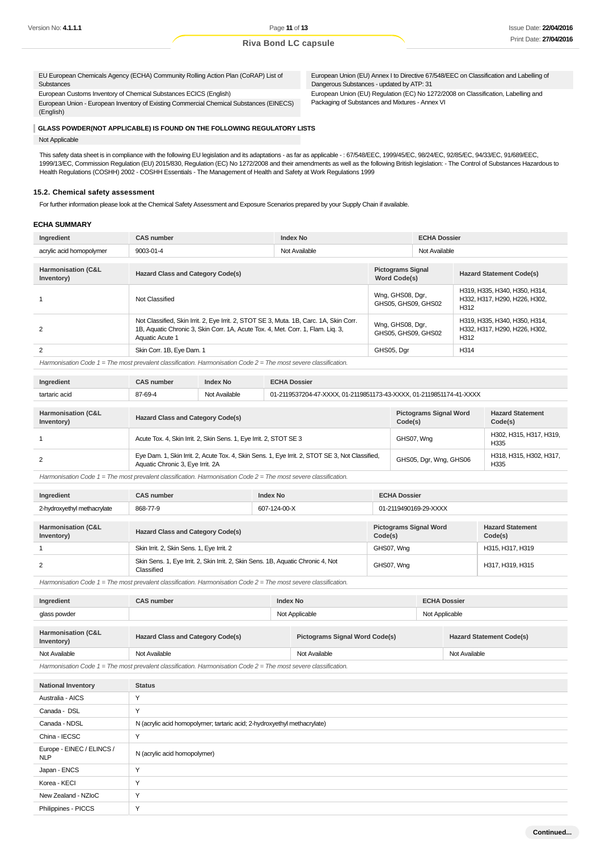EU European Chemicals Agency (ECHA) Community Rolling Action Plan (CoRAP) List of **Substances** 

European Customs Inventory of Chemical Substances ECICS (English)

European Union - European Inventory of Existing Commercial Chemical Substances (EINECS) (English)

European Union (EU) Annex I to Directive 67/548/EEC on Classification and Labelling of Dangerous Substances - updated by ATP: 31 European Union (EU) Regulation (EC) No 1272/2008 on Classification, Labelling and Packaging of Substances and Mixtures - Annex VI

#### **GLASS POWDER(NOT APPLICABLE) IS FOUND ON THE FOLLOWING REGULATORY LISTS**

Not Applicable

This safety data sheet is in compliance with the following EU legislation and its adaptations - as far as applicable -: 67/548/EEC, 1999/45/EC, 98/24/EC, 92/85/EC, 94/33/EC, 91/689/EEC, 1999/13/EC, Commission Regulation (EU) 2015/830, Regulation (EC) No 1272/2008 and their amendments as well as the following British legislation: - The Control of Substances Hazardous to Health Regulations (COSHH) 2002 - COSHH Essentials - The Management of Health and Safety at Work Regulations 1999

#### **15.2. Chemical safety assessment**

For further information please look at the Chemical Safety Assessment and Exposure Scenarios prepared by your Supply Chain if available.

#### **ECHA SUMMARY**

| Ingredient                    | <b>CAS number</b>                                                                                                                                                                            | <b>Index No</b> |                                          | <b>ECHA Dossier</b> |                                                                        |
|-------------------------------|----------------------------------------------------------------------------------------------------------------------------------------------------------------------------------------------|-----------------|------------------------------------------|---------------------|------------------------------------------------------------------------|
| acrylic acid homopolymer      | 9003-01-4                                                                                                                                                                                    | Not Available   |                                          | Not Available       |                                                                        |
| <b>Harmonisation (C&amp;L</b> |                                                                                                                                                                                              |                 |                                          |                     |                                                                        |
| Inventory)                    | <b>Hazard Class and Category Code(s)</b>                                                                                                                                                     |                 | <b>Pictograms Signal</b><br>Word Code(s) |                     | <b>Hazard Statement Code(s)</b>                                        |
|                               | Not Classified                                                                                                                                                                               |                 | Wng, GHS08, Dgr,<br>GHS05, GHS09, GHS02  |                     | H319, H335, H340, H350, H314,<br>H332, H317, H290, H226, H302,<br>H312 |
| 2                             | Not Classified, Skin Irrit. 2, Eye Irrit. 2, STOT SE 3, Muta. 1B, Carc. 1A, Skin Corr.<br>1B, Aquatic Chronic 3, Skin Corr. 1A, Acute Tox. 4, Met. Corr. 1, Flam. Lig. 3,<br>Aquatic Acute 1 |                 | Wng, GHS08, Dgr,<br>GHS05, GHS09, GHS02  |                     | H319, H335, H340, H350, H314,<br>H332, H317, H290, H226, H302,<br>H312 |
| 2                             | Skin Corr. 1B, Eye Dam. 1                                                                                                                                                                    |                 | GHS05, Dgr                               |                     | H314                                                                   |
|                               |                                                                                                                                                                                              |                 |                                          |                     |                                                                        |

Harmonisation Code 1 = The most prevalent classification. Harmonisation Code 2 = The most severe classification.

| Ingredient                                  | <b>CAS number</b>                                                  | Index No                                                                                        | <b>ECHA Dossier</b>                                                 |                                    |                                 |  |  |
|---------------------------------------------|--------------------------------------------------------------------|-------------------------------------------------------------------------------------------------|---------------------------------------------------------------------|------------------------------------|---------------------------------|--|--|
| tartaric acid                               | 87-69-4                                                            | Not Available                                                                                   | 01-2119537204-47-XXXX, 01-2119851173-43-XXXX, 01-2119851174-41-XXXX |                                    |                                 |  |  |
|                                             |                                                                    |                                                                                                 |                                                                     |                                    |                                 |  |  |
| <b>Harmonisation (C&amp;L</b><br>Inventory) | <b>Hazard Class and Category Code(s)</b>                           |                                                                                                 | <b>Pictograms Signal Word</b><br>Code(s)                            | <b>Hazard Statement</b><br>Code(s) |                                 |  |  |
|                                             | Acute Tox. 4, Skin Irrit. 2, Skin Sens. 1, Eye Irrit. 2, STOT SE 3 |                                                                                                 |                                                                     | GHS07, Wng                         | H302, H315, H317, H319,<br>H335 |  |  |
| 2                                           | Aquatic Chronic 3, Eye Irrit. 2A                                   | Eye Dam. 1, Skin Irrit. 2, Acute Tox. 4, Skin Sens. 1, Eye Irrit. 2, STOT SE 3, Not Classified, |                                                                     | GHS05, Dgr, Wng, GHS06             | H318, H315, H302, H317,<br>H335 |  |  |

Harmonisation Code 1 = The most prevalent classification. Harmonisation Code 2 = The most severe classification.

| Ingredient                                  | <b>CAS number</b><br><b>Index No</b>                                                           |  | <b>ECHA Dossier</b>                      |                                    |  |
|---------------------------------------------|------------------------------------------------------------------------------------------------|--|------------------------------------------|------------------------------------|--|
| 2-hydroxyethyl methacrylate                 | 868-77-9<br>607-124-00-X                                                                       |  | 01-2119490169-29-XXXX                    |                                    |  |
|                                             |                                                                                                |  |                                          |                                    |  |
| <b>Harmonisation (C&amp;L</b><br>Inventory) | <b>Hazard Class and Category Code(s)</b>                                                       |  | <b>Pictograms Signal Word</b><br>Code(s) | <b>Hazard Statement</b><br>Code(s) |  |
|                                             | Skin Irrit. 2, Skin Sens. 1, Eye Irrit. 2                                                      |  | GHS07, Wng                               | H315, H317, H319                   |  |
| 2                                           | Skin Sens. 1, Eye Irrit. 2, Skin Irrit. 2, Skin Sens. 1B, Aquatic Chronic 4, Not<br>Classified |  | GHS07, Wng                               | H317, H319, H315                   |  |

Harmonisation Code  $1 =$  The most prevalent classification. Harmonisation Code  $2 =$  The most severe classification.

| Ingredient                                  | <b>Index No</b><br><b>CAS number</b>     |                | <b>ECHA Dossier</b>                   |  |                                 |  |
|---------------------------------------------|------------------------------------------|----------------|---------------------------------------|--|---------------------------------|--|
| glass powder                                |                                          | Not Applicable |                                       |  | Not Applicable                  |  |
|                                             |                                          |                |                                       |  |                                 |  |
| <b>Harmonisation (C&amp;L</b><br>Inventory) | <b>Hazard Class and Category Code(s)</b> |                | <b>Pictograms Signal Word Code(s)</b> |  | <b>Hazard Statement Code(s)</b> |  |
| Not Available                               | Not Available                            |                | Not Available                         |  | Not Available                   |  |
|                                             |                                          |                |                                       |  |                                 |  |

Harmonisation Code 1 = The most prevalent classification. Harmonisation Code 2 = The most severe classification.

| <b>National Inventory</b>               | <b>Status</b>                                                            |
|-----------------------------------------|--------------------------------------------------------------------------|
| Australia - AICS                        | Y                                                                        |
| Canada - DSL                            | Y                                                                        |
| Canada - NDSL                           | N (acrylic acid homopolymer; tartaric acid; 2-hydroxyethyl methacrylate) |
| China - IECSC                           | Y                                                                        |
| Europe - EINEC / ELINCS /<br><b>NLP</b> | N (acrylic acid homopolymer)                                             |
| Japan - ENCS                            | Y                                                                        |
| Korea - KECI                            | Y                                                                        |
| New Zealand - NZIoC                     | Y                                                                        |
| Philippines - PICCS                     | Y                                                                        |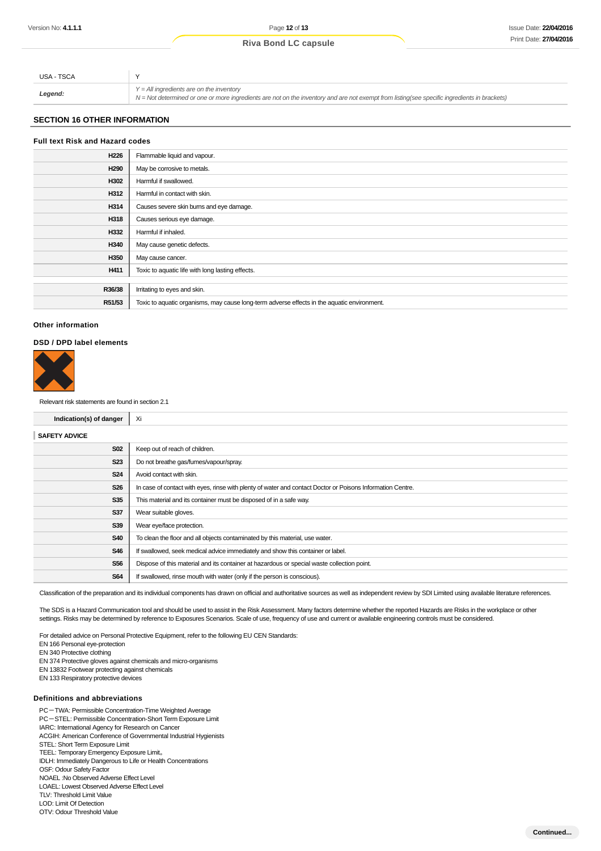| USA - TSCA |                                                                                                                                                                                            |
|------------|--------------------------------------------------------------------------------------------------------------------------------------------------------------------------------------------|
| .egend.    | $Y = All$ ingredients are on the inventory<br>N = Not determined or one or more ingredients are not on the inventory and are not exempt from listing(see specific ingredients in brackets) |

# **SECTION 16 OTHER INFORMATION**

# **Full text Risk and Hazard codes H226** Flammable liquid and vapour. **H290** May be corrosive to metals. **H302** Harmful if swallowed. **H312** Harmful in contact with skin. **H314** Causes severe skin burns and eye damage. **H318** Causes serious eye damage. **H332** Harmful if inhaled. **H340** May cause genetic defects. H350 | May cause cancer. **H411** Toxic to aquatic life with long lasting effects. **R36/38** Irritating to eyes and skin. **R51/53** Toxic to aquatic organisms, may cause long-term adverse effects in the aquatic environment.

#### **Other information**

#### **DSD / DPD label elements**



Relevant risk statements are found in section 2.1

| Indication(s) of danger | Xi                                                                                                         |
|-------------------------|------------------------------------------------------------------------------------------------------------|
| <b>SAFETY ADVICE</b>    |                                                                                                            |
| <b>S02</b>              | Keep out of reach of children.                                                                             |
| <b>S23</b>              | Do not breathe gas/fumes/vapour/spray.                                                                     |
| <b>S24</b>              | Avoid contact with skin.                                                                                   |
| <b>S26</b>              | In case of contact with eyes, rinse with plenty of water and contact Doctor or Poisons Information Centre. |
| <b>S35</b>              | This material and its container must be disposed of in a safe way.                                         |
| <b>S37</b>              | Wear suitable gloves.                                                                                      |
| <b>S39</b>              | Wear eye/face protection.                                                                                  |
| <b>S40</b>              | To clean the floor and all objects contaminated by this material, use water.                               |
| <b>S46</b>              | If swallowed, seek medical advice immediately and show this container or label.                            |
| <b>S56</b>              | Dispose of this material and its container at hazardous or special waste collection point.                 |
| <b>S64</b>              | If swallowed, rinse mouth with water (only if the person is conscious).                                    |
|                         |                                                                                                            |

Classification of the preparation and its individual components has drawn on official and authoritative sources as well as independent review by SDI Limited using available literature references.

The SDS is a Hazard Communication tool and should be used to assist in the Risk Assessment. Many factors determine whether the reported Hazards are Risks in the workplace or other settings. Risks may be determined by reference to Exposures Scenarios. Scale of use, frequency of use and current or available engineering controls must be considered.

For detailed advice on Personal Protective Equipment, refer to the following EU CEN Standards:

EN 166 Personal eye-protection

EN 340 Protective clothing

EN 374 Protective gloves against chemicals and micro-organisms

EN 13832 Footwear protecting against chemicals

EN 133 Respiratory protective devices

#### **Definitions and abbreviations**

PC-TWA: Permissible Concentration-Time Weighted Average

PC-STEL: Permissible Concentration-Short Term Exposure Limit

IARC: International Agency for Research on Cancer

ACGIH: American Conference of Governmental Industrial Hygienists

STEL: Short Term Exposure Limit

TEEL: Temporary Emergency Exposure Limit。

IDLH: Immediately Dangerous to Life or Health Concentrations

OSF: Odour Safety Factor

NOAEL :No Observed Adverse Effect Level

LOAEL: Lowest Observed Adverse Effect Level TLV: Threshold Limit Value

LOD: Limit Of Detection

OTV: Odour Threshold Value